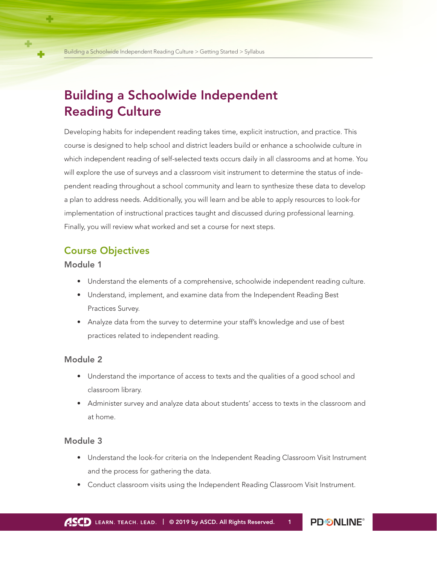# Building a Schoolwide Independent Reading Culture

Developing habits for independent reading takes time, explicit instruction, and practice. This course is designed to help school and district leaders build or enhance a schoolwide culture in which independent reading of self-selected texts occurs daily in all classrooms and at home. You will explore the use of surveys and a classroom visit instrument to determine the status of independent reading throughout a school community and learn to synthesize these data to develop a plan to address needs. Additionally, you will learn and be able to apply resources to look-for implementation of instructional practices taught and discussed during professional learning. Finally, you will review what worked and set a course for next steps.

## Course Objectives

Module 1

- Understand the elements of a comprehensive, schoolwide independent reading culture.
- Understand, implement, and examine data from the Independent Reading Best Practices Survey.
- Analyze data from the survey to determine your staff's knowledge and use of best practices related to independent reading.

#### Module 2

- Understand the importance of access to texts and the qualities of a good school and classroom library.
- Administer survey and analyze data about students' access to texts in the classroom and at home.

#### Module 3

- Understand the look-for criteria on the Independent Reading Classroom Visit Instrument and the process for gathering the data.
- Conduct classroom visits using the Independent Reading Classroom Visit Instrument.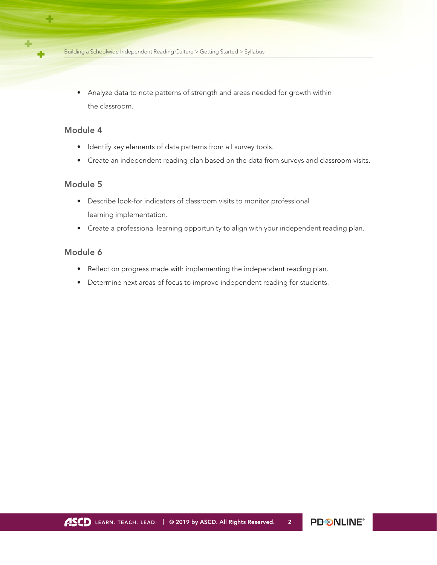• Analyze data to note patterns of strength and areas needed for growth within the classroom.

#### Module 4

د ک

- Identify key elements of data patterns from all survey tools.
- Create an independent reading plan based on the data from surveys and classroom visits.

#### Module 5

- Describe look-for indicators of classroom visits to monitor professional learning implementation.
- Create a professional learning opportunity to align with your independent reading plan.

#### Module 6

- Reflect on progress made with implementing the independent reading plan.
- Determine next areas of focus to improve independent reading for students.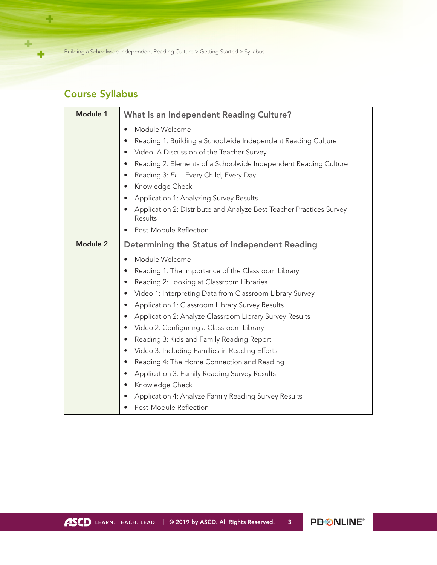Building a Schoolwide Independent Reading Culture > Getting Started > Syllabus

## Course Syllabus

÷.

 $\overline{\phantom{a}}$ 

÷

| Module 1        | <b>What Is an Independent Reading Culture?</b>                                 |
|-----------------|--------------------------------------------------------------------------------|
|                 | Module Welcome<br>$\bullet$                                                    |
|                 | Reading 1: Building a Schoolwide Independent Reading Culture                   |
|                 | Video: A Discussion of the Teacher Survey<br>$\bullet$                         |
|                 | Reading 2: Elements of a Schoolwide Independent Reading Culture                |
|                 | Reading 3: EL-Every Child, Every Day                                           |
|                 | Knowledge Check                                                                |
|                 | Application 1: Analyzing Survey Results                                        |
|                 | Application 2: Distribute and Analyze Best Teacher Practices Survey<br>Results |
|                 | Post-Module Reflection                                                         |
| <b>Module 2</b> | Determining the Status of Independent Reading                                  |
|                 | Module Welcome                                                                 |
|                 | Reading 1: The Importance of the Classroom Library                             |
|                 | Reading 2: Looking at Classroom Libraries<br>$\bullet$                         |
|                 | Video 1: Interpreting Data from Classroom Library Survey                       |
|                 | Application 1: Classroom Library Survey Results                                |
|                 | Application 2: Analyze Classroom Library Survey Results                        |
|                 | Video 2: Configuring a Classroom Library                                       |
|                 | Reading 3: Kids and Family Reading Report<br>$\bullet$                         |
|                 | Video 3: Including Families in Reading Efforts                                 |
|                 | Reading 4: The Home Connection and Reading                                     |
|                 | Application 3: Family Reading Survey Results                                   |
|                 | Knowledge Check                                                                |
|                 | Application 4: Analyze Family Reading Survey Results                           |
|                 | Post-Module Reflection                                                         |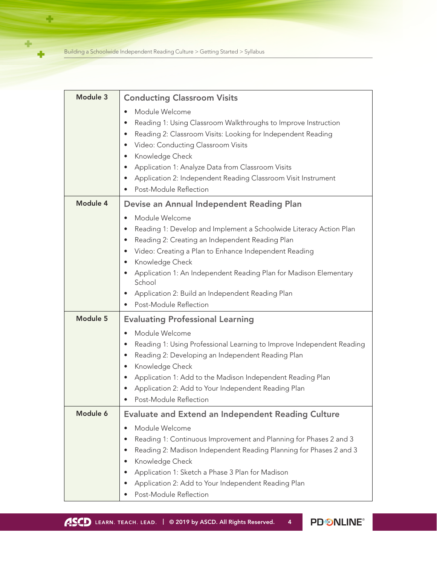Building a Schoolwide Independent Reading Culture > Getting Started > Syllabus

÷

 $\ddot{\phantom{1}}$ 

÷

| Module 3 | <b>Conducting Classroom Visits</b>                                                                                                                                                                                                                                                                                                                                                                         |
|----------|------------------------------------------------------------------------------------------------------------------------------------------------------------------------------------------------------------------------------------------------------------------------------------------------------------------------------------------------------------------------------------------------------------|
|          | Module Welcome<br>Reading 1: Using Classroom Walkthroughs to Improve Instruction<br>Reading 2: Classroom Visits: Looking for Independent Reading<br>$\bullet$<br>Video: Conducting Classroom Visits<br>$\bullet$<br>Knowledge Check<br>Application 1: Analyze Data from Classroom Visits<br>Application 2: Independent Reading Classroom Visit Instrument<br>Post-Module Reflection                        |
| Module 4 | Devise an Annual Independent Reading Plan                                                                                                                                                                                                                                                                                                                                                                  |
|          | Module Welcome<br>Reading 1: Develop and Implement a Schoolwide Literacy Action Plan<br>Reading 2: Creating an Independent Reading Plan<br>$\bullet$<br>Video: Creating a Plan to Enhance Independent Reading<br>Knowledge Check<br>$\bullet$<br>Application 1: An Independent Reading Plan for Madison Elementary<br>School<br>Application 2: Build an Independent Reading Plan<br>Post-Module Reflection |
| Module 5 | <b>Evaluating Professional Learning</b>                                                                                                                                                                                                                                                                                                                                                                    |
|          | Module Welcome<br>$\bullet$<br>Reading 1: Using Professional Learning to Improve Independent Reading<br>Reading 2: Developing an Independent Reading Plan<br>$\bullet$<br>Knowledge Check<br>Application 1: Add to the Madison Independent Reading Plan<br>Application 2: Add to Your Independent Reading Plan<br>Post-Module Reflection                                                                   |
| Module 6 | Evaluate and Extend an Independent Reading Culture                                                                                                                                                                                                                                                                                                                                                         |
|          | Module Welcome<br>Reading 1: Continuous Improvement and Planning for Phases 2 and 3<br>Reading 2: Madison Independent Reading Planning for Phases 2 and 3<br>Knowledge Check<br>Application 1: Sketch a Phase 3 Plan for Madison<br>Application 2: Add to Your Independent Reading Plan<br>Post-Module Reflection                                                                                          |

PD **SNLINE®**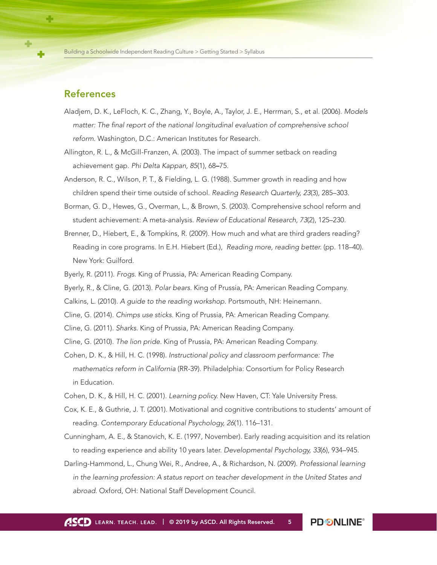## References

- Aladjem, D. K., LeFloch, K. C., Zhang, Y., Boyle, A., Taylor, J. E., Herrman, S., et al. (2006). *Models matter: The final report of the national longitudinal evaluation of comprehensive school reform.* Washington, D.C.: American Institutes for Research.
- Allington, R. L., & McGill-Franzen, A. (2003). The impact of summer setback on reading achievement gap. *Phi Delta Kappan, 85*(1), 68–75.
- Anderson, R. C., Wilson, P. T., & Fielding, L. G. (1988). Summer growth in reading and how children spend their time outside of school. *Reading Research Quarterly, 23*(3), 285–303.
- Borman, G. D., Hewes, G., Overman, L., & Brown, S. (2003). Comprehensive school reform and student achievement: A meta-analysis. *Review of Educational Research, 73*(2), 125–230.
- Brenner, D., Hiebert, E., & Tompkins, R. (2009). How much and what are third graders reading? Reading in core programs. In E.H. Hiebert (Ed.), *Reading more, reading better.* (pp. 118–40). New York: Guilford.
- Byerly, R. (2011). *Frogs.* King of Prussia, PA: American Reading Company.
- Byerly, R., & Cline, G. (2013). *Polar bears.* King of Prussia, PA: American Reading Company.
- Calkins, L. (2010). *A guide to the reading workshop.* Portsmouth, NH: Heinemann.
- Cline, G. (2014). *Chimps use sticks.* King of Prussia, PA: American Reading Company.
- Cline, G. (2011). *Sharks.* King of Prussia, PA: American Reading Company.
- Cline, G. (2010). *The lion pride.* King of Prussia, PA: American Reading Company.
- Cohen, D. K., & Hill, H. C. (1998). *Instructional policy and classroom performance: The mathematics reform in California* (RR-39). Philadelphia: Consortium for Policy Research in Education.
- Cohen, D. K., & Hill, H. C. (2001). *Learning policy.* New Haven, CT: Yale University Press.
- Cox, K. E., & Guthrie, J. T. (2001). Motivational and cognitive contributions to students' amount of reading. *Contemporary Educational Psychology, 26*(1). 116–131.
- Cunningham, A. E., & Stanovich, K. E. (1997, November). Early reading acquisition and its relation to reading experience and ability 10 years later. *Developmental Psychology, 33*(6), 934–945.
- Darling-Hammond, L., Chung Wei, R., Andree, A., & Richardson, N. (2009). *Professional learning in the learning profession: A status report on teacher development in the United States and abroad.* Oxford, OH: National Staff Development Council.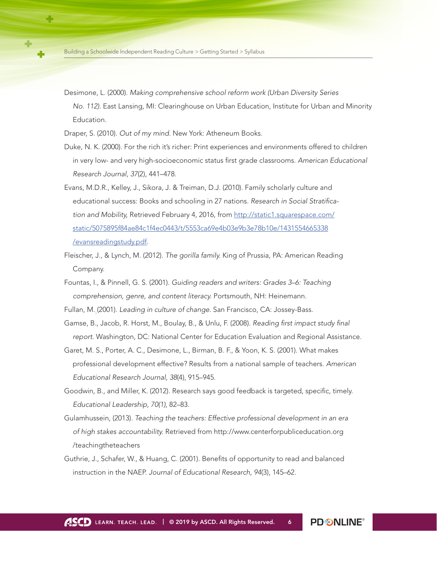Desimone, L. (2000). *Making comprehensive school reform work (Urban Diversity Series No. 112)*. East Lansing, MI: Clearinghouse on Urban Education, Institute for Urban and Minority Education.

Draper, S. (2010). *Out of my mind.* New York: Atheneum Books.

- Duke, N. K. (2000). For the rich it's richer: Print experiences and environments offered to children in very low- and very high-socioeconomic status first grade classrooms. *American Educational Research Journal, 37*(2), 441–478.
- Evans, M.D.R., Kelley, J., Sikora, J. & Treiman, D.J. (2010). Family scholarly culture and educational success: Books and schooling in 27 nations. *Research in Social Stratification and Mobility,* Retrieved February 4, 2016, from [http://static1.squarespace.com/](http://static1.squarespace.com/static/5075895f84ae84c1f4ec0443/t/5553ca69e4b03e9b3e78b10e/1431554665338/evansreadingstudy.pdf
) [static/5075895f84ae84c1f4ec0443/t/5553ca69e4b03e9b3e78b10e/1431554665338](http://static1.squarespace.com/static/5075895f84ae84c1f4ec0443/t/5553ca69e4b03e9b3e78b10e/1431554665338/evansreadingstudy.pdf
)  [/evansreadingstudy.pdf.](http://static1.squarespace.com/static/5075895f84ae84c1f4ec0443/t/5553ca69e4b03e9b3e78b10e/1431554665338/evansreadingstudy.pdf
)
- Fleischer, J., & Lynch, M. (2012). *The gorilla family.* King of Prussia, PA: American Reading Company.
- Fountas, I., & Pinnell, G. S. (2001). *Guiding readers and writers: Grades 3–6: Teaching comprehension, genre, and content literacy.* Portsmouth, NH: Heinemann.
- Fullan, M. (2001). *Leading in culture of change.* San Francisco, CA: Jossey-Bass.
- Gamse, B., Jacob, R. Horst, M., Boulay, B., & Unlu, F. (2008). *Reading first impact study final report.* Washington, DC: National Center for Education Evaluation and Regional Assistance.
- Garet, M. S., Porter, A. C., Desimone, L., Birman, B. F., & Yoon, K. S. (2001). What makes professional development effective? Results from a national sample of teachers. *American Educational Research Journal, 38*(4), 915–945.
- Goodwin, B., and Miller, K. (2012). Research says good feedback is targeted, specific, timely. *Educational Leadership, 70(1),* 82–83.
- Gulamhussein, (2013). *Teaching the teachers: Effective professional development in an era of high stakes accountability.* Retrieved from [http://www.centerforpubliceducation.org](http://conference.ohioschoolboards.org/2017/wp-content/uploads/sites/17/2016/07/1pm111317A114Job-embedPD.pdf)  [/teachingtheteachers](http://conference.ohioschoolboards.org/2017/wp-content/uploads/sites/17/2016/07/1pm111317A114Job-embedPD.pdf)
- Guthrie, J., Schafer, W., & Huang, C. (2001). Benefits of opportunity to read and balanced instruction in the NAEP. *Journal of Educational Research, 94*(3), 145–62.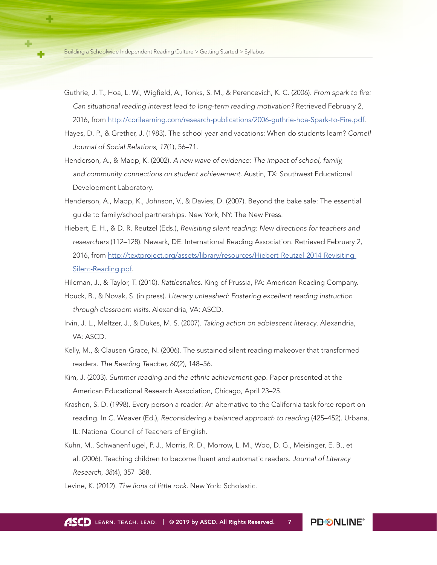- Guthrie, J. T., Hoa, L. W., Wigfield, A., Tonks, S. M., & Perencevich, K. C. (2006). *From spark to fire: Can situational reading interest lead to long-term reading motivation?* Retrieved February 2, 2016, from [http://corilearning.com/research-publications/2006-guthrie-hoa-Spark-to-Fire.pdf.](http://corilearning.com/research-publications/2006-guthrie-hoa-Spark-to-Fire.pdf)
- Hayes, D. P., & Grether, J. (1983). The school year and vacations: When do students learn? *Cornell Journal of Social Relations, 17*(1), 56–71.
- Henderson, A., & Mapp, K. (2002). *A new wave of evidence: The impact of school, family, and community connections on student achievement.* Austin, TX: Southwest Educational Development Laboratory.
- Henderson, A., Mapp, K., Johnson, V., & Davies, D. (2007). Beyond the bake sale: The essential guide to family/school partnerships. New York, NY: The New Press.
- Hiebert, E. H., & D. R. Reutzel (Eds.), *Revisiting silent reading: New directions for teachers and researchers* (112–128). Newark, DE: International Reading Association. Retrieved February 2, 2016, from [http://textproject.org/assets/library/resources/Hiebert-Reutzel-2014-Revisiting-](http://textproject.org/assets/library/resources/Hiebert-Reutzel-2014-Revisiting-Silent-Reading.pdf)[Silent-Reading.pdf.](http://textproject.org/assets/library/resources/Hiebert-Reutzel-2014-Revisiting-Silent-Reading.pdf)

Hileman, J., & Taylor, T. (2010). *Rattlesnakes.* King of Prussia, PA: American Reading Company.

- Houck, B., & Novak, S. (in press). *Literacy unleashed: Fostering excellent reading instruction through classroom visits.* Alexandria, VA: ASCD.
- Irvin, J. L., Meltzer, J., & Dukes, M. S. (2007). *Taking action on adolescent literacy*. Alexandria, VA: ASCD.
- Kelly, M., & Clausen-Grace, N. (2006). The sustained silent reading makeover that transformed readers. *The Reading Teacher, 60*(2), 148–56.
- Kim, J. (2003). *Summer reading and the ethnic achievement gap.* Paper presented at the American Educational Research Association, Chicago, April 23–25.
- Krashen, S. D. (1998). Every person a reader: An alternative to the California task force report on reading. In C. Weaver (Ed.), *Reconsidering a balanced approach to reading* (425–452). Urbana, IL: National Council of Teachers of English.
- Kuhn, M., Schwanenflugel, P. J., Morris, R. D., Morrow, L. M., Woo, D. G., Meisinger, E. B., et al. (2006). Teaching children to become fluent and automatic readers. *Journal of Literacy Research*, *38*(4), 357–388.
- Levine, K. (2012). *The lions of little rock.* New York: Scholastic.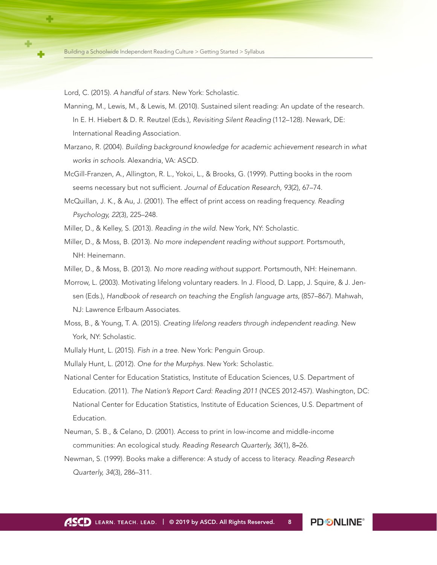Lord, C. (2015). *A handful of stars.* New York: Scholastic.

- Manning, M., Lewis, M., & Lewis, M. (2010). Sustained silent reading: An update of the research. In E. H. Hiebert & D. R. Reutzel (Eds.), *Revisiting Silent Reading* (112–128). Newark, DE: International Reading Association.
- Marzano, R. (2004). *Building background knowledge for academic achievement research* in *what works in schools.* Alexandria, VA: ASCD.
- McGill-Franzen, A., Allington, R. L., Yokoi, L., & Brooks, G. (1999). Putting books in the room seems necessary but not sufficient*. Journal of Education Research, 93*(2)*,* 67–74.
- McQuillan, J. K., & Au, J. (2001). The effect of print access on reading frequency. *Reading Psychology, 22*(3), 225–248.
- Miller, D., & Kelley, S. (2013). *Reading in the wild.* New York, NY: Scholastic.
- Miller, D., & Moss, B. (2013). *No more independent reading without support.* Portsmouth, NH: Heinemann.
- Miller, D., & Moss, B. (2013). *No more reading without support.* Portsmouth, NH: Heinemann.
- Morrow, L. (2003). Motivating lifelong voluntary readers. In J. Flood, D. Lapp, J. Squire, & J. Jensen (Eds.), *Handbook of research on teaching the English language arts,* (857–867). Mahwah, NJ: Lawrence Erlbaum Associates.
- Moss, B., & Young, T. A. (2015). *Creating lifelong readers through independent reading.* New York, NY: Scholastic.
- Mullaly Hunt, L. (2015). *Fish in a tree.* New York: Penguin Group.
- Mullaly Hunt, L. (2012). *One for the Murphys.* New York: Scholastic.
- National Center for Education Statistics, Institute of Education Sciences, U.S. Department of Education. (2011). *The Nation's Report Card: Reading 2011* (NCES 2012-457). Washington, DC: National Center for Education Statistics, Institute of Education Sciences, U.S. Department of Education.
- Neuman, S. B., & Celano, D. (2001). Access to print in low-income and middle-income communities: An ecological study. *Reading Research Quarterly, 36*(1), 8–26.
- Newman, S. (1999). Books make a difference: A study of access to literacy. *Reading Research Quarterly, 34*(3)*,* 286–311.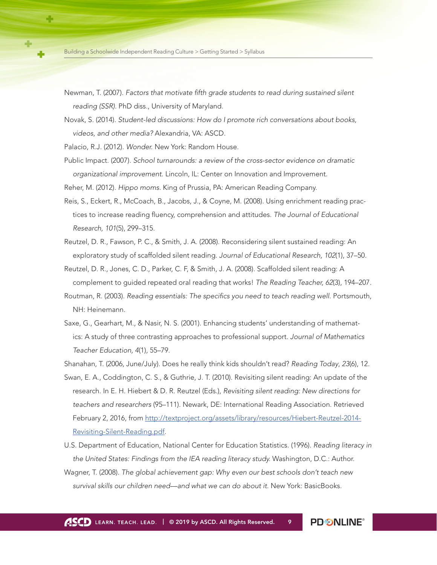- Newman, T. (2007). *Factors that motivate fifth grade students to read during sustained silent reading (SSR).* PhD diss., University of Maryland.
- Novak, S. (2014). *Student-led discussions: How do I promote rich conversations about books, videos, and other media?* Alexandria, VA: ASCD.
- Palacio, R.J. (2012). *Wonder.* New York: Random House.
- Public Impact. (2007). *School turnarounds: a review of the cross-sector evidence on dramatic organizational improvement.* Lincoln, IL: Center on Innovation and Improvement.
- Reher, M. (2012). *Hippo moms.* King of Prussia, PA: American Reading Company.
- Reis, S., Eckert, R., McCoach, B., Jacobs, J., & Coyne, M. (2008). Using enrichment reading practices to increase reading fluency, comprehension and attitudes. *The Journal of Educational Research, 101*(5), 299–315.
- Reutzel, D. R., Fawson, P. C., & Smith, J. A. (2008). Reconsidering silent sustained reading: An exploratory study of scaffolded silent reading. *Journal of Educational Research, 102*(1), 37–50.
- Reutzel, D. R., Jones, C. D., Parker, C. F, & Smith, J. A. (2008). Scaffolded silent reading: A complement to guided repeated oral reading that works! *The Reading Teacher, 62*(3), 194–207.
- Routman, R. (2003). *Reading essentials: The specifics you need to teach reading well.* Portsmouth, NH: Heinemann.
- Saxe, G., Gearhart, M., & Nasir, N. S. (2001). Enhancing students' understanding of mathematics: A study of three contrasting approaches to professional support. *Journal of Mathematics Teacher Education, 4*(1)*,* 55–79.
- Shanahan, T. (2006, June/July). Does he really think kids shouldn't read? *Reading Today*, *23*(6), 12.
- Swan, E. A., Coddington, C. S., & Guthrie, J. T. (2010). Revisiting silent reading: An update of the research. In E. H. Hiebert & D. R. Reutzel (Eds.), *Revisiting silent reading: New directions for teachers and researchers* (95–111). Newark, DE: International Reading Association. Retrieved February 2, 2016, from [http://textproject.org/assets/library/resources/Hiebert-Reutzel-2014-](http://textproject.org/assets/library/resources/Hiebert-Reutzel-2014-Revisiting-Silent-Reading.pdf) [Revisiting-Silent-Reading.pdf.](http://textproject.org/assets/library/resources/Hiebert-Reutzel-2014-Revisiting-Silent-Reading.pdf)
- U.S. Department of Education, National Center for Education Statistics. (1996). *Reading literacy in the United States: Findings from the IEA reading literacy study.* Washington, D.C.: Author.
- Wagner, T. (2008). *The global achievement gap: Why even our best schools don't teach new survival skills our children need—and what we can do about it.* New York: BasicBooks.